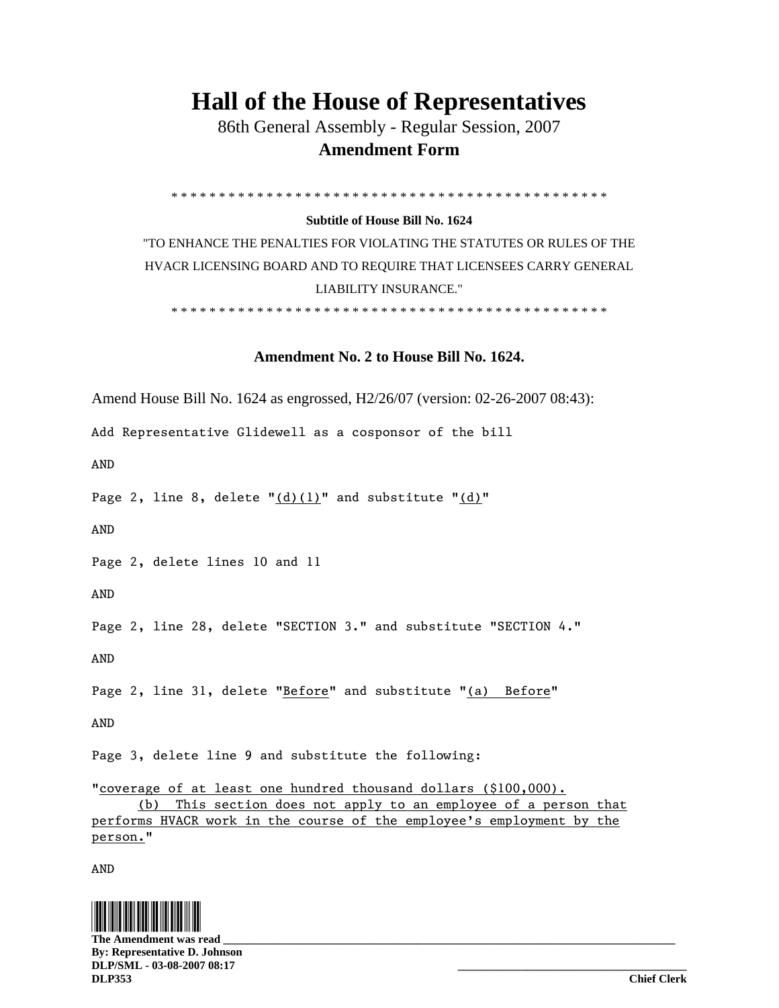## **Hall of the House of Representatives**

 86th General Assembly - Regular Session, 2007  **Amendment Form** 

\* \* \* \* \* \* \* \* \* \* \* \* \* \* \* \* \* \* \* \* \* \* \* \* \* \* \* \* \* \* \* \* \* \* \* \* \* \* \* \* \* \* \* \* \* \*

## **Subtitle of House Bill No. 1624**

"TO ENHANCE THE PENALTIES FOR VIOLATING THE STATUTES OR RULES OF THE HVACR LICENSING BOARD AND TO REQUIRE THAT LICENSEES CARRY GENERAL LIABILITY INSURANCE."

\* \* \* \* \* \* \* \* \* \* \* \* \* \* \* \* \* \* \* \* \* \* \* \* \* \* \* \* \* \* \* \* \* \* \* \* \* \* \* \* \* \* \* \* \* \*

## **Amendment No. 2 to House Bill No. 1624.**

Amend House Bill No. 1624 as engrossed, H2/26/07 (version: 02-26-2007 08:43):

Add Representative Glidewell as a cosponsor of the bill

AND

Page 2, line 8, delete  $"(\text{d})(1)"$  and substitute  $"(\text{d})"$ 

AND

Page 2, delete lines 10 and 11

AND

Page 2, line 28, delete "SECTION 3." and substitute "SECTION 4."

AND

Page 2, line 31, delete "Before" and substitute "(a) Before"

AND

Page 3, delete line 9 and substitute the following:

"coverage of at least one hundred thousand dollars (\$100,000). (b) This section does not apply to an employee of a person that performs HVACR work in the course of the employee's employment by the person."

AND



The Amendment was read **By: Representative D. Johnson DLP/SML - 03-08-2007 08:17 \_\_\_\_\_\_\_\_\_\_\_\_\_\_\_\_\_\_\_\_\_\_\_\_\_\_\_\_\_\_\_\_\_\_\_\_\_\_\_\_ DLP353 Chief Clerk**